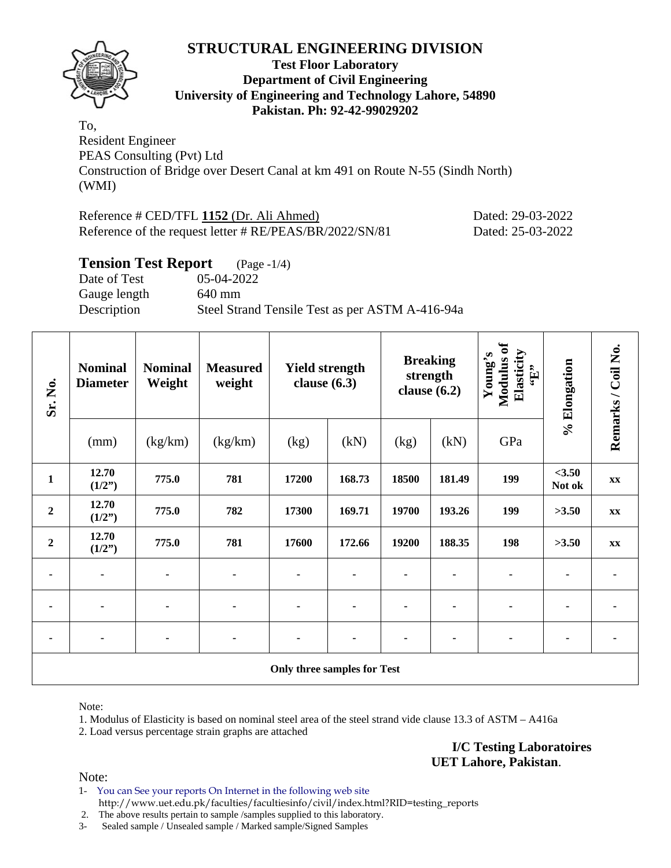

#### **Test Floor Laboratory Department of Civil Engineering University of Engineering and Technology Lahore, 54890 Pakistan. Ph: 92-42-99029202**

To, Resident Engineer PEAS Consulting (Pvt) Ltd Construction of Bridge over Desert Canal at km 491 on Route N-55 (Sindh North) (WMI)

| Reference # CED/TFL 1152 (Dr. Ali Ahmed)                | Dated: 29-03-2022 |
|---------------------------------------------------------|-------------------|
| Reference of the request letter # RE/PEAS/BR/2022/SN/81 | Dated: 25-03-2022 |

#### **Tension Test Report** (Page -1/4)

Date of Test 05-04-2022 Gauge length 640 mm Description Steel Strand Tensile Test as per ASTM A-416-94a

| Sr. No.          | <b>Nominal</b><br><b>Diameter</b> | <b>Nominal</b><br>Weight | <b>Measured</b><br>weight | Modulus of<br>Elasticity<br>Young's<br><b>Breaking</b><br><b>Yield strength</b><br>$\mathbf{f}$ .<br>strength<br>clause $(6.3)$<br>clause $(6.2)$ |        |       |        | % Elongation | Remarks / Coil No. |               |
|------------------|-----------------------------------|--------------------------|---------------------------|---------------------------------------------------------------------------------------------------------------------------------------------------|--------|-------|--------|--------------|--------------------|---------------|
|                  | (mm)                              | (kg/km)                  | (kg/km)                   | (kg)                                                                                                                                              | (kN)   | (kg)  | (kN)   | GPa          |                    |               |
| $\mathbf{1}$     | 12.70<br>(1/2")                   | 775.0                    | 781                       | 17200                                                                                                                                             | 168.73 | 18500 | 181.49 | 199          | <3.50<br>Not ok    | $\mathbf{XX}$ |
| $\boldsymbol{2}$ | 12.70<br>(1/2")                   | 775.0                    | 782                       | 17300                                                                                                                                             | 169.71 | 19700 | 193.26 | 199          | >3.50              | XX            |
| $\boldsymbol{2}$ | 12.70<br>(1/2")                   | 775.0                    | 781                       | 17600                                                                                                                                             | 172.66 | 19200 | 188.35 | 198          | >3.50              | $\mathbf{XX}$ |
| ٠                | $\blacksquare$                    |                          | $\blacksquare$            |                                                                                                                                                   |        |       |        |              |                    |               |
| ۰                | $\blacksquare$                    |                          | ۰                         |                                                                                                                                                   |        |       |        |              |                    |               |
|                  |                                   |                          |                           |                                                                                                                                                   |        |       |        |              |                    |               |
|                  |                                   |                          |                           | <b>Only three samples for Test</b>                                                                                                                |        |       |        |              |                    |               |

Note:

1. Modulus of Elasticity is based on nominal steel area of the steel strand vide clause 13.3 of ASTM – A416a

2. Load versus percentage strain graphs are attached

**I/C Testing Laboratoires UET Lahore, Pakistan**.

Note:

1- You can See your reports On Internet in the following web site http://www.uet.edu.pk/faculties/facultiesinfo/civil/index.html?RID=testing\_reports

2. The above results pertain to sample /samples supplied to this laboratory.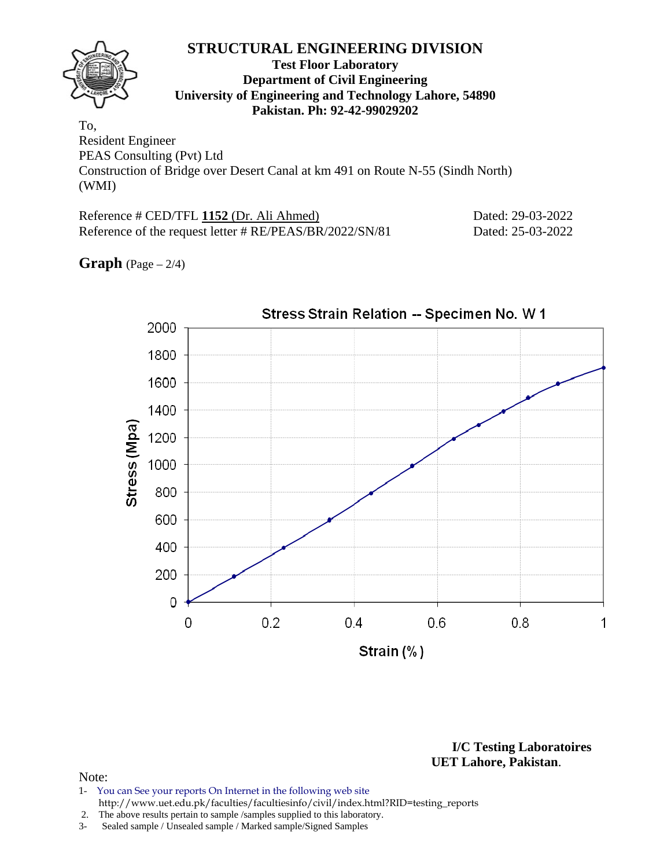#### **Test Floor Laboratory Department of Civil Engineering University of Engineering and Technology Lahore, 54890 Pakistan. Ph: 92-42-99029202**

To, Resident Engineer PEAS Consulting (Pvt) Ltd Construction of Bridge over Desert Canal at km 491 on Route N-55 (Sindh North) (WMI)

Reference # CED/TFL **1152** (Dr. Ali Ahmed) Dated: 29-03-2022 Reference of the request letter # RE/PEAS/BR/2022/SN/81 Dated: 25-03-2022

**Graph**  $(Page - 2/4)$ 



**I/C Testing Laboratoires UET Lahore, Pakistan**.

- 1- You can See your reports On Internet in the following web site http://www.uet.edu.pk/faculties/facultiesinfo/civil/index.html?RID=testing\_reports
- 2. The above results pertain to sample /samples supplied to this laboratory.
- 3- Sealed sample / Unsealed sample / Marked sample/Signed Samples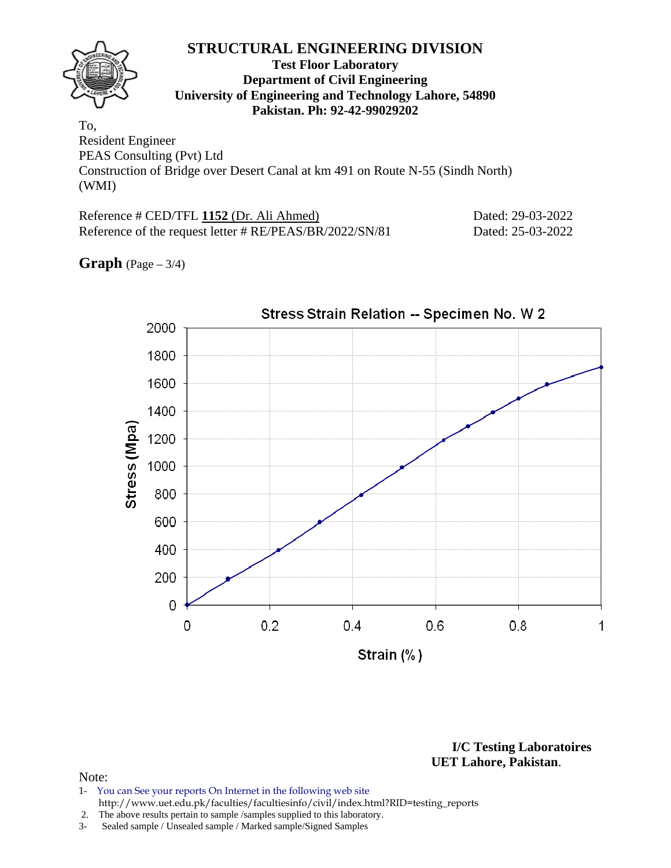#### **Test Floor Laboratory Department of Civil Engineering University of Engineering and Technology Lahore, 54890 Pakistan. Ph: 92-42-99029202**

To, Resident Engineer PEAS Consulting (Pvt) Ltd Construction of Bridge over Desert Canal at km 491 on Route N-55 (Sindh North) (WMI)

Reference # CED/TFL **1152** (Dr. Ali Ahmed) Dated: 29-03-2022 Reference of the request letter # RE/PEAS/BR/2022/SN/81 Dated: 25-03-2022

**Graph** (Page – 3/4)



**I/C Testing Laboratoires UET Lahore, Pakistan**.

- 1- You can See your reports On Internet in the following web site http://www.uet.edu.pk/faculties/facultiesinfo/civil/index.html?RID=testing\_reports
- 2. The above results pertain to sample /samples supplied to this laboratory.
- 3- Sealed sample / Unsealed sample / Marked sample/Signed Samples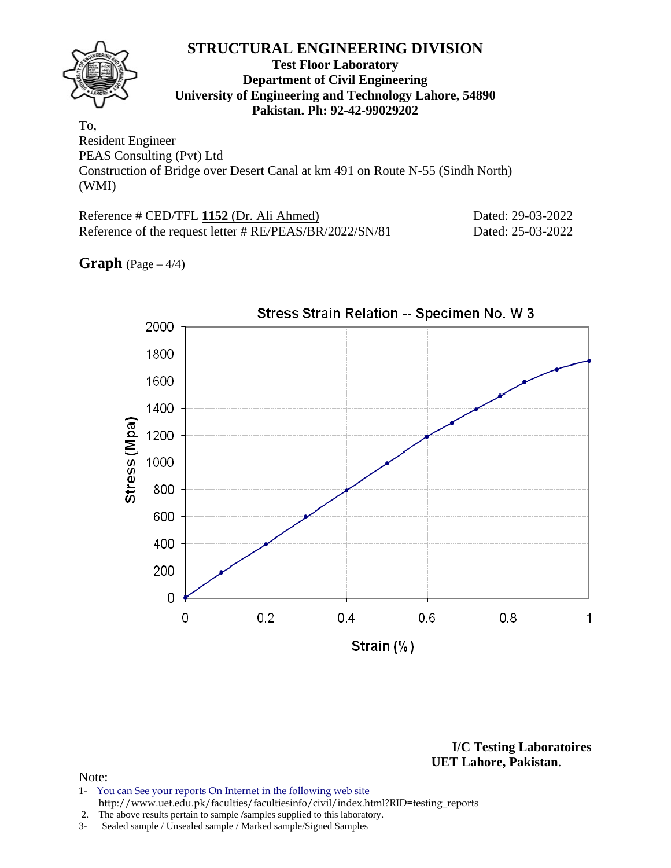#### **Test Floor Laboratory Department of Civil Engineering University of Engineering and Technology Lahore, 54890 Pakistan. Ph: 92-42-99029202**

To, Resident Engineer PEAS Consulting (Pvt) Ltd Construction of Bridge over Desert Canal at km 491 on Route N-55 (Sindh North) (WMI)

Reference # CED/TFL **1152** (Dr. Ali Ahmed) Dated: 29-03-2022 Reference of the request letter # RE/PEAS/BR/2022/SN/81 Dated: 25-03-2022

**Graph** (Page – 4/4)



**I/C Testing Laboratoires UET Lahore, Pakistan**.

#### Note:

1- You can See your reports On Internet in the following web site http://www.uet.edu.pk/faculties/facultiesinfo/civil/index.html?RID=testing\_reports

2. The above results pertain to sample /samples supplied to this laboratory.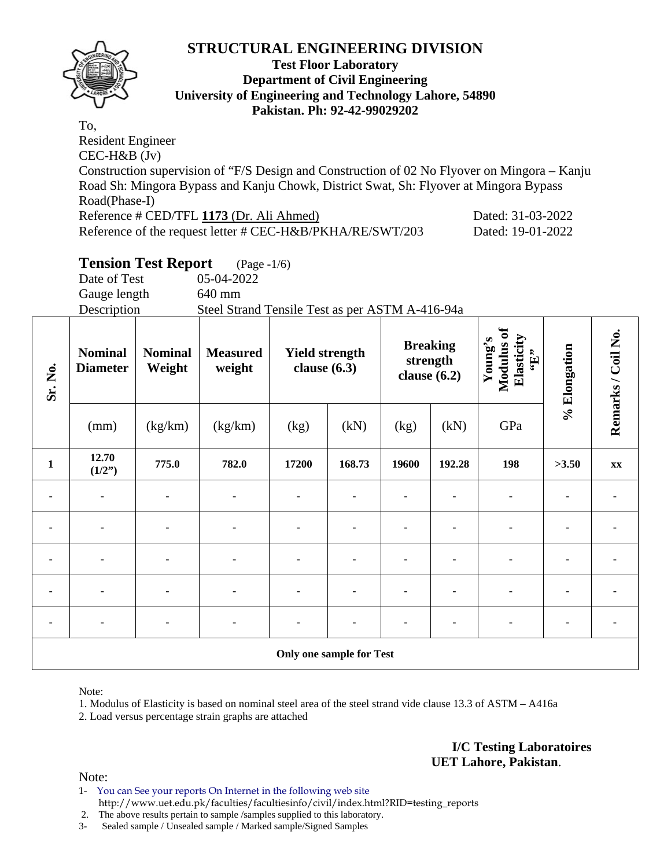

#### **Test Floor Laboratory Department of Civil Engineering University of Engineering and Technology Lahore, 54890 Pakistan. Ph: 92-42-99029202**

To, Resident Engineer CEC-H&B (Jv) Construction supervision of "F/S Design and Construction of 02 No Flyover on Mingora – Kanju Road Sh: Mingora Bypass and Kanju Chowk, District Swat, Sh: Flyover at Mingora Bypass Road(Phase-I) Reference # CED/TFL **1173** (Dr. Ali Ahmed) Dated: 31-03-2022 Reference of the request letter # CEC-H&B/PKHA/RE/SWT/203 Dated: 19-01-2022

## **Tension Test Report** (Page -1/6)

Date of Test 05-04-2022 Gauge length 640 mm

Description Steel Strand Tensile Test as per ASTM A-416-94a

| Sr. No.      | <b>Nominal</b><br><b>Diameter</b> | <b>Nominal</b><br>Weight | <b>Measured</b><br>weight | <b>Yield strength</b><br>clause $(6.3)$ |                                 | <b>Breaking</b><br>strength<br>clause $(6.2)$ |        | Modulus of<br>Elasticity<br>Young's<br>$\mathbf{f}$ . | % Elongation | Remarks / Coil No. |
|--------------|-----------------------------------|--------------------------|---------------------------|-----------------------------------------|---------------------------------|-----------------------------------------------|--------|-------------------------------------------------------|--------------|--------------------|
|              | (mm)                              | (kg/km)                  | (kg/km)                   | (kg)                                    | (kN)                            | (kg)                                          | (kN)   | GPa                                                   |              |                    |
| $\mathbf{1}$ | 12.70<br>(1/2")                   | 775.0                    | 782.0                     | 17200                                   | 168.73                          | 19600                                         | 192.28 | 198                                                   | >3.50        | <b>XX</b>          |
|              |                                   |                          |                           |                                         |                                 |                                               |        |                                                       |              |                    |
| ۰            |                                   |                          |                           | ۰                                       |                                 |                                               |        |                                                       |              |                    |
| ۰            | $\blacksquare$                    |                          |                           |                                         |                                 |                                               |        |                                                       |              |                    |
| ٠            |                                   |                          |                           |                                         |                                 |                                               |        |                                                       |              |                    |
| ۰            |                                   |                          |                           |                                         |                                 |                                               |        |                                                       |              |                    |
|              |                                   |                          |                           |                                         | <b>Only one sample for Test</b> |                                               |        |                                                       |              |                    |

Note:

1. Modulus of Elasticity is based on nominal steel area of the steel strand vide clause 13.3 of ASTM – A416a

2. Load versus percentage strain graphs are attached

Note:

1- You can See your reports On Internet in the following web site http://www.uet.edu.pk/faculties/facultiesinfo/civil/index.html?RID=testing\_reports

2. The above results pertain to sample /samples supplied to this laboratory.

3- Sealed sample / Unsealed sample / Marked sample/Signed Samples

**I/C Testing Laboratoires UET Lahore, Pakistan**.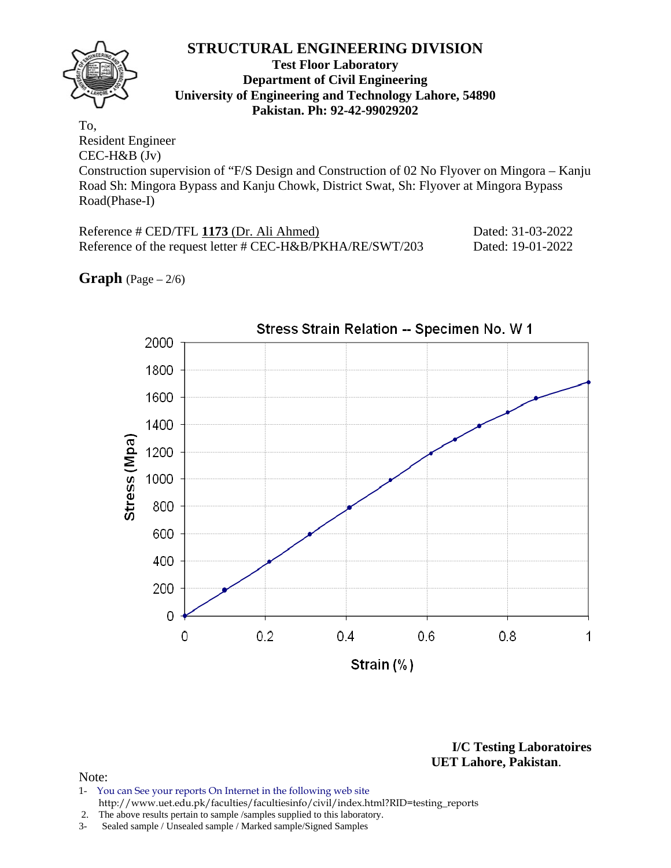#### **Test Floor Laboratory Department of Civil Engineering University of Engineering and Technology Lahore, 54890 Pakistan. Ph: 92-42-99029202**

To, Resident Engineer CEC-H&B (Jv)

Construction supervision of "F/S Design and Construction of 02 No Flyover on Mingora – Kanju Road Sh: Mingora Bypass and Kanju Chowk, District Swat, Sh: Flyover at Mingora Bypass Road(Phase-I)

| Reference # CED/TFL 1173 (Dr. Ali Ahmed)                  | Dated: 31-03-2022 |
|-----------------------------------------------------------|-------------------|
| Reference of the request letter # CEC-H&B/PKHA/RE/SWT/203 | Dated: 19-01-2022 |

**Graph**  $(Page - 2/6)$ 



**I/C Testing Laboratoires UET Lahore, Pakistan**.

- 1- You can See your reports On Internet in the following web site http://www.uet.edu.pk/faculties/facultiesinfo/civil/index.html?RID=testing\_reports
- 2. The above results pertain to sample /samples supplied to this laboratory.
- 3- Sealed sample / Unsealed sample / Marked sample/Signed Samples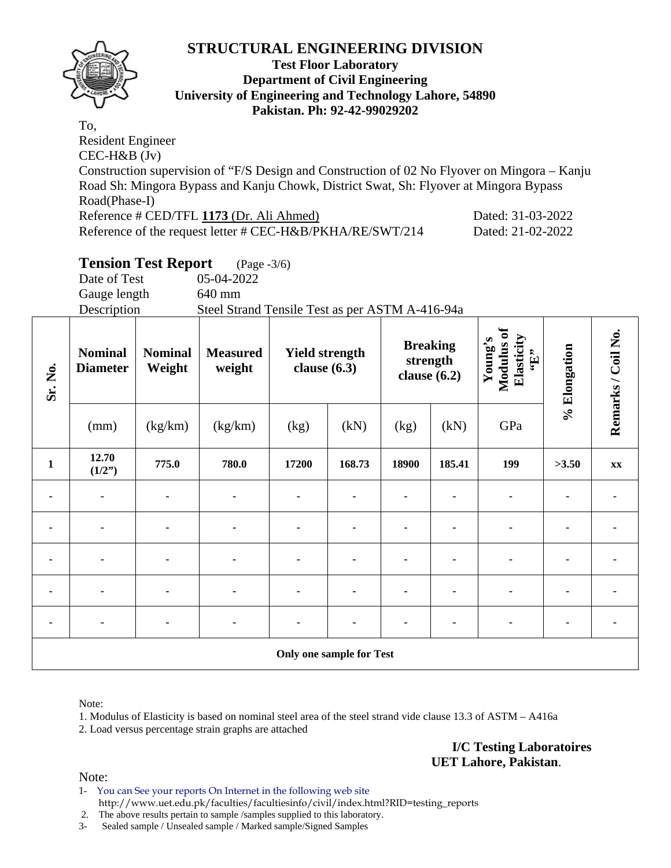

#### **Test Floor Laboratory Department of Civil Engineering University of Engineering and Technology Lahore, 54890 Pakistan. Ph: 92-42-99029202**

To, Resident Engineer CEC-H&B (Jv) Construction supervision of "F/S Design and Construction of 02 No Flyover on Mingora – Kanju Road Sh: Mingora Bypass and Kanju Chowk, District Swat, Sh: Flyover at Mingora Bypass Road(Phase-I) Reference # CED/TFL **1173** (Dr. Ali Ahmed) Dated: 31-03-2022 Reference of the request letter # CEC-H&B/PKHA/RE/SWT/214 Dated: 21-02-2022

## **Tension Test Report** (Page -3/6)

Date of Test 05-04-2022 Gauge length 640 mm

Description Steel Strand Tensile Test as per ASTM A-416-94a

| Sr. No.        | <b>Nominal</b><br><b>Diameter</b> | <b>Nominal</b><br>Weight | <b>Measured</b><br>weight | <b>Yield strength</b><br>clause $(6.3)$ |                                 | clause $(6.2)$ | <b>Breaking</b><br>strength | Modulus of<br>Elasticity<br>Young's<br>$\mathbf{G}$ . | % Elongation | Remarks / Coil No. |
|----------------|-----------------------------------|--------------------------|---------------------------|-----------------------------------------|---------------------------------|----------------|-----------------------------|-------------------------------------------------------|--------------|--------------------|
|                | (mm)                              | (kg/km)                  | (kg/km)                   | (kg)                                    | (kN)                            | (kg)           | (kN)                        | GPa                                                   |              |                    |
| $\mathbf{1}$   | 12.70<br>(1/2")                   | 775.0                    | 780.0                     | 17200                                   | 168.73                          | 18900          | 185.41                      | 199                                                   | >3.50        | $\mathbf{XX}$      |
| ٠              |                                   |                          |                           | ۰                                       |                                 |                |                             |                                                       |              |                    |
| $\blacksquare$ | $\blacksquare$                    |                          | ۰                         | ٠                                       |                                 |                |                             |                                                       |              |                    |
| ٠              |                                   |                          |                           | $\blacksquare$                          |                                 |                |                             |                                                       |              |                    |
|                |                                   |                          |                           |                                         |                                 |                |                             |                                                       |              |                    |
|                |                                   |                          |                           |                                         |                                 |                |                             |                                                       |              |                    |
|                |                                   |                          |                           |                                         | <b>Only one sample for Test</b> |                |                             |                                                       |              |                    |

Note:

1. Modulus of Elasticity is based on nominal steel area of the steel strand vide clause 13.3 of ASTM – A416a 2. Load versus percentage strain graphs are attached

> **I/C Testing Laboratoires UET Lahore, Pakistan**.

Note:

1- You can See your reports On Internet in the following web site http://www.uet.edu.pk/faculties/facultiesinfo/civil/index.html?RID=testing\_reports

2. The above results pertain to sample /samples supplied to this laboratory.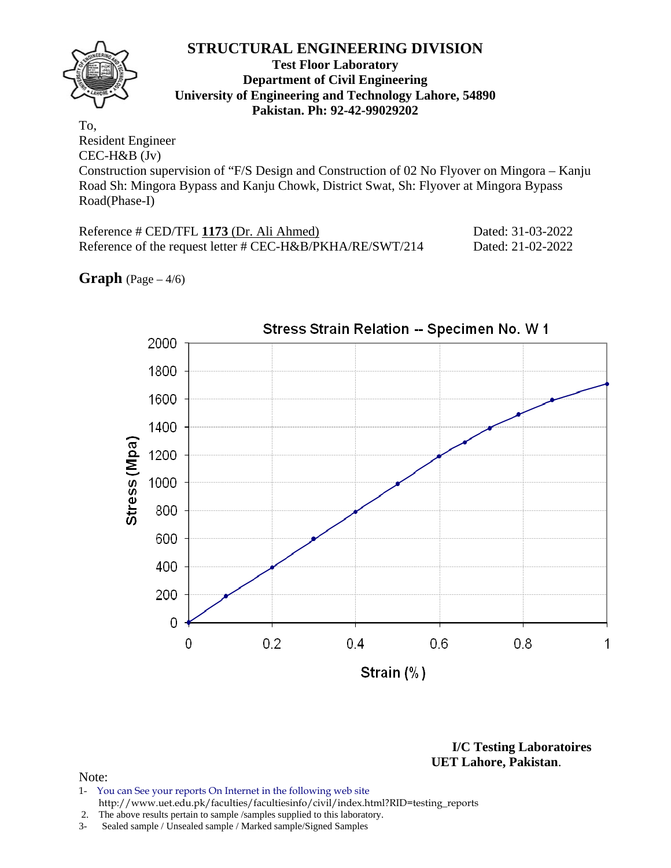#### **Test Floor Laboratory Department of Civil Engineering University of Engineering and Technology Lahore, 54890 Pakistan. Ph: 92-42-99029202**

To, Resident Engineer CEC-H&B (Jv)

Construction supervision of "F/S Design and Construction of 02 No Flyover on Mingora – Kanju Road Sh: Mingora Bypass and Kanju Chowk, District Swat, Sh: Flyover at Mingora Bypass Road(Phase-I)

| Reference # CED/TFL 1173 (Dr. Ali Ahmed)                  | Dated: 31-03-2022 |
|-----------------------------------------------------------|-------------------|
| Reference of the request letter # CEC-H&B/PKHA/RE/SWT/214 | Dated: 21-02-2022 |

**Graph**  $(Page - 4/6)$ 



**I/C Testing Laboratoires UET Lahore, Pakistan**.

- 1- You can See your reports On Internet in the following web site http://www.uet.edu.pk/faculties/facultiesinfo/civil/index.html?RID=testing\_reports
- 2. The above results pertain to sample /samples supplied to this laboratory.
- 3- Sealed sample / Unsealed sample / Marked sample/Signed Samples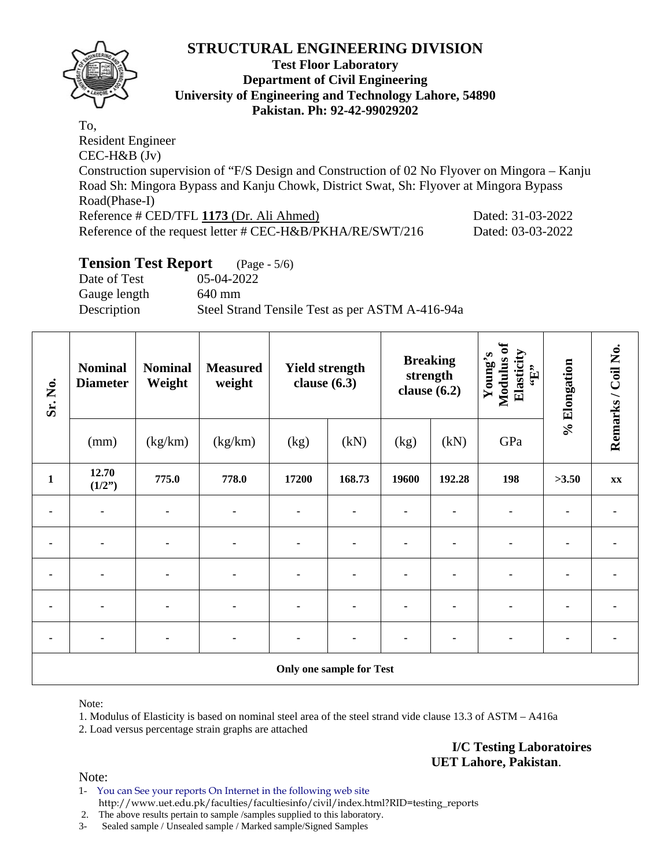

#### **Test Floor Laboratory Department of Civil Engineering University of Engineering and Technology Lahore, 54890 Pakistan. Ph: 92-42-99029202**

To, Resident Engineer CEC-H&B (Jv) Construction supervision of "F/S Design and Construction of 02 No Flyover on Mingora – Kanju Road Sh: Mingora Bypass and Kanju Chowk, District Swat, Sh: Flyover at Mingora Bypass Road(Phase-I) Reference # CED/TFL **1173** (Dr. Ali Ahmed) Dated: 31-03-2022 Reference of the request letter # CEC-H&B/PKHA/RE/SWT/216 Dated: 03-03-2022

## **Tension Test Report** (Page - 5/6)

Date of Test 05-04-2022 Gauge length 640 mm Description Steel Strand Tensile Test as per ASTM A-416-94a

| Sr. No.        | <b>Nominal</b><br><b>Diameter</b><br>(mm) | <b>Nominal</b><br>Weight<br>(kg/km) | <b>Measured</b><br>weight<br>(kg/km) | <b>Breaking</b><br><b>Yield strength</b><br>strength<br>clause $(6.3)$<br>clause $(6.2)$<br>(kN)<br>(kN)<br>(kg)<br>(kg) |                                 | Modulus of<br>Elasticity<br>Young's<br>$\mathbf{f}$ .<br>GPa | % Elongation | Remarks / Coil No. |       |    |
|----------------|-------------------------------------------|-------------------------------------|--------------------------------------|--------------------------------------------------------------------------------------------------------------------------|---------------------------------|--------------------------------------------------------------|--------------|--------------------|-------|----|
|                |                                           |                                     |                                      |                                                                                                                          |                                 |                                                              |              |                    |       |    |
| $\mathbf{1}$   | 12.70<br>(1/2")                           | 775.0                               | 778.0                                | 17200                                                                                                                    | 168.73                          | 19600                                                        | 192.28       | 198                | >3.50 | XX |
|                |                                           |                                     |                                      |                                                                                                                          |                                 |                                                              |              |                    |       |    |
| $\blacksquare$ | $\blacksquare$                            | ٠                                   | $\blacksquare$                       | ٠                                                                                                                        |                                 |                                                              |              |                    |       |    |
| $\blacksquare$ |                                           | ۰                                   |                                      | ۰                                                                                                                        |                                 |                                                              |              |                    |       |    |
|                |                                           |                                     |                                      |                                                                                                                          |                                 |                                                              |              |                    |       |    |
|                |                                           | ٠                                   |                                      |                                                                                                                          |                                 |                                                              |              |                    |       |    |
|                |                                           |                                     |                                      |                                                                                                                          | <b>Only one sample for Test</b> |                                                              |              |                    |       |    |

Note:

1. Modulus of Elasticity is based on nominal steel area of the steel strand vide clause 13.3 of ASTM – A416a 2. Load versus percentage strain graphs are attached

> **I/C Testing Laboratoires UET Lahore, Pakistan**.

- 1- You can See your reports On Internet in the following web site http://www.uet.edu.pk/faculties/facultiesinfo/civil/index.html?RID=testing\_reports
- 2. The above results pertain to sample /samples supplied to this laboratory.
- 3- Sealed sample / Unsealed sample / Marked sample/Signed Samples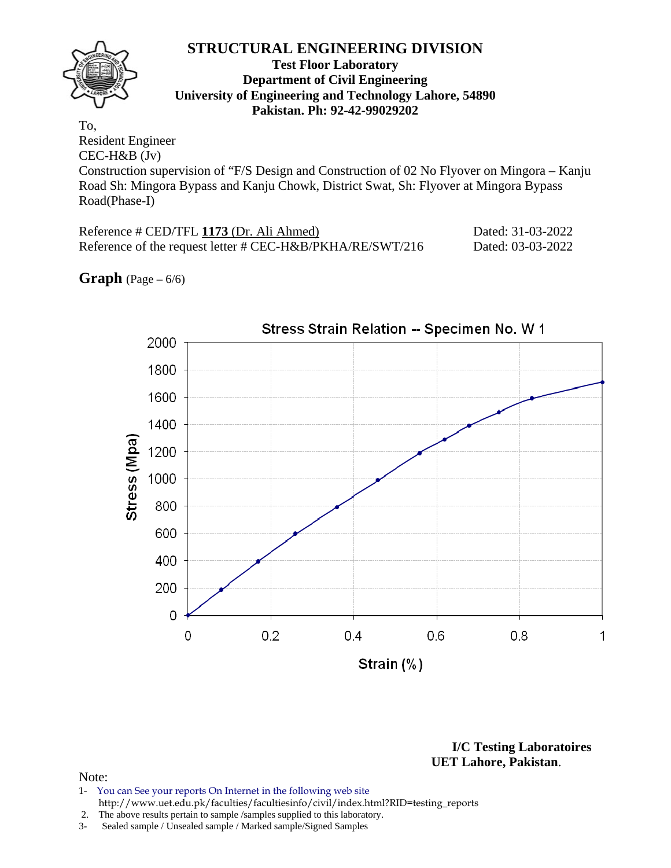#### **Test Floor Laboratory Department of Civil Engineering University of Engineering and Technology Lahore, 54890 Pakistan. Ph: 92-42-99029202**

To, Resident Engineer CEC-H&B (Jv)

Construction supervision of "F/S Design and Construction of 02 No Flyover on Mingora – Kanju Road Sh: Mingora Bypass and Kanju Chowk, District Swat, Sh: Flyover at Mingora Bypass Road(Phase-I)

| Reference # CED/TFL 1173 (Dr. Ali Ahmed)                  | Dated: 31-03-2022 |
|-----------------------------------------------------------|-------------------|
| Reference of the request letter # CEC-H&B/PKHA/RE/SWT/216 | Dated: 03-03-2022 |

## **Graph**  $(Page - 6/6)$



**I/C Testing Laboratoires UET Lahore, Pakistan**.

- 1- You can See your reports On Internet in the following web site http://www.uet.edu.pk/faculties/facultiesinfo/civil/index.html?RID=testing\_reports
- 2. The above results pertain to sample /samples supplied to this laboratory.
- 3- Sealed sample / Unsealed sample / Marked sample/Signed Samples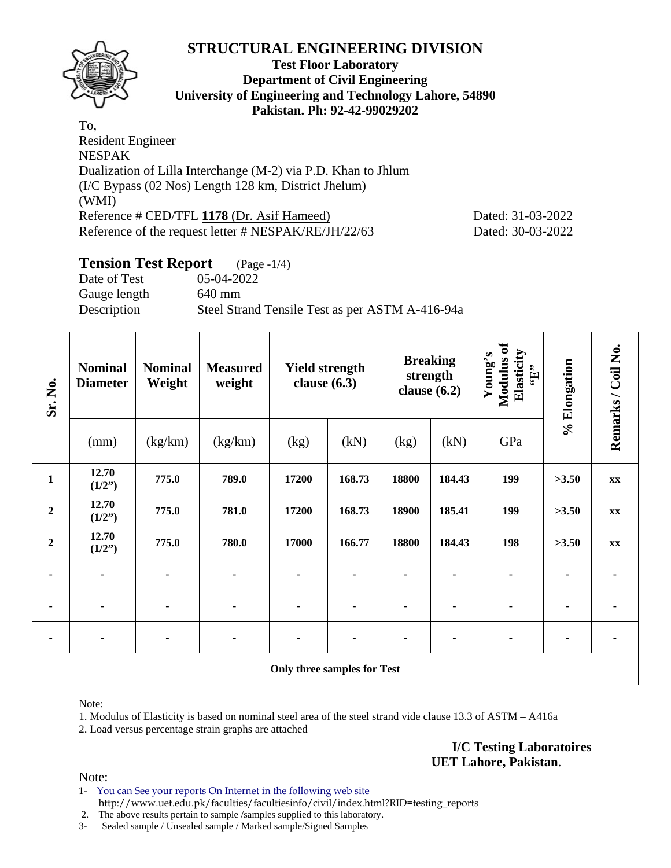

#### **Test Floor Laboratory Department of Civil Engineering University of Engineering and Technology Lahore, 54890 Pakistan. Ph: 92-42-99029202**

To, Resident Engineer NESPAK Dualization of Lilla Interchange (M-2) via P.D. Khan to Jhlum (I/C Bypass (02 Nos) Length 128 km, District Jhelum) (WMI) Reference # CED/TFL 1178 (Dr. Asif Hameed) Dated: 31-03-2022 Reference of the request letter # NESPAK/RE/JH/22/63 Dated: 30-03-2022

#### **Tension Test Report** (Page -1/4) Date of Test 05-04-2022 Gauge length 640 mm Description Steel Strand Tensile Test as per ASTM A-416-94a

| Sr. No.          | <b>Nominal</b><br><b>Diameter</b> | <b>Nominal</b><br>Weight | <b>Measured</b><br>weight | <b>Yield strength</b><br>clause $(6.3)$ |        | <b>Breaking</b><br>strength<br>clause $(6.2)$ |        | Modulus of<br>Elasticity<br>Young's<br>$\mathbf{G}$ . | % Elongation | Remarks / Coil No. |
|------------------|-----------------------------------|--------------------------|---------------------------|-----------------------------------------|--------|-----------------------------------------------|--------|-------------------------------------------------------|--------------|--------------------|
|                  | (mm)                              | (kg/km)                  | (kg/km)                   | (kg)                                    | (kN)   | (kg)                                          | (kN)   | GPa                                                   |              |                    |
| $\mathbf{1}$     | 12.70<br>(1/2")                   | 775.0                    | 789.0                     | 17200                                   | 168.73 | 18800                                         | 184.43 | 199                                                   | >3.50        | XX                 |
| $\boldsymbol{2}$ | 12.70<br>(1/2")                   | 775.0                    | 781.0                     | 17200                                   | 168.73 | 18900                                         | 185.41 | 199                                                   | >3.50        | XX                 |
| $\mathbf{2}$     | 12.70<br>(1/2")                   | 775.0                    | 780.0                     | 17000                                   | 166.77 | 18800                                         | 184.43 | 198                                                   | >3.50        | $\mathbf{XX}$      |
| ۰                | $\blacksquare$                    | ٠                        | ۰                         | ٠                                       |        |                                               |        | ۰                                                     |              |                    |
| ٠                | ٠                                 | ٠                        | ۰                         | ۰                                       |        |                                               |        | ٠                                                     |              |                    |
|                  | $\blacksquare$                    |                          |                           |                                         |        |                                               |        |                                                       |              |                    |
|                  |                                   |                          |                           | Only three samples for Test             |        |                                               |        |                                                       |              |                    |

Note:

1. Modulus of Elasticity is based on nominal steel area of the steel strand vide clause 13.3 of ASTM – A416a 2. Load versus percentage strain graphs are attached

> **I/C Testing Laboratoires UET Lahore, Pakistan**.

Note:

1- You can See your reports On Internet in the following web site http://www.uet.edu.pk/faculties/facultiesinfo/civil/index.html?RID=testing\_reports

2. The above results pertain to sample /samples supplied to this laboratory.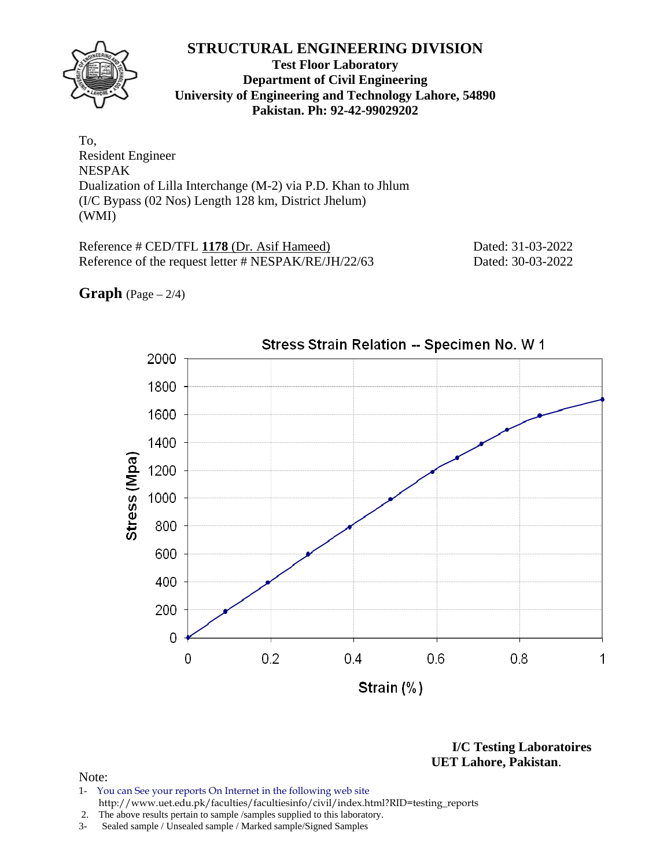

**Test Floor Laboratory Department of Civil Engineering University of Engineering and Technology Lahore, 54890 Pakistan. Ph: 92-42-99029202** 

To, Resident Engineer NESPAK Dualization of Lilla Interchange (M-2) via P.D. Khan to Jhlum (I/C Bypass (02 Nos) Length 128 km, District Jhelum) (WMI)

Reference # CED/TFL 1178 (Dr. Asif Hameed) Dated: 31-03-2022 Reference of the request letter # NESPAK/RE/JH/22/63 Dated: 30-03-2022

**Graph**  $(Page - 2/4)$ 



**I/C Testing Laboratoires UET Lahore, Pakistan**.

- 1- You can See your reports On Internet in the following web site http://www.uet.edu.pk/faculties/facultiesinfo/civil/index.html?RID=testing\_reports
- 2. The above results pertain to sample /samples supplied to this laboratory.
- 3- Sealed sample / Unsealed sample / Marked sample/Signed Samples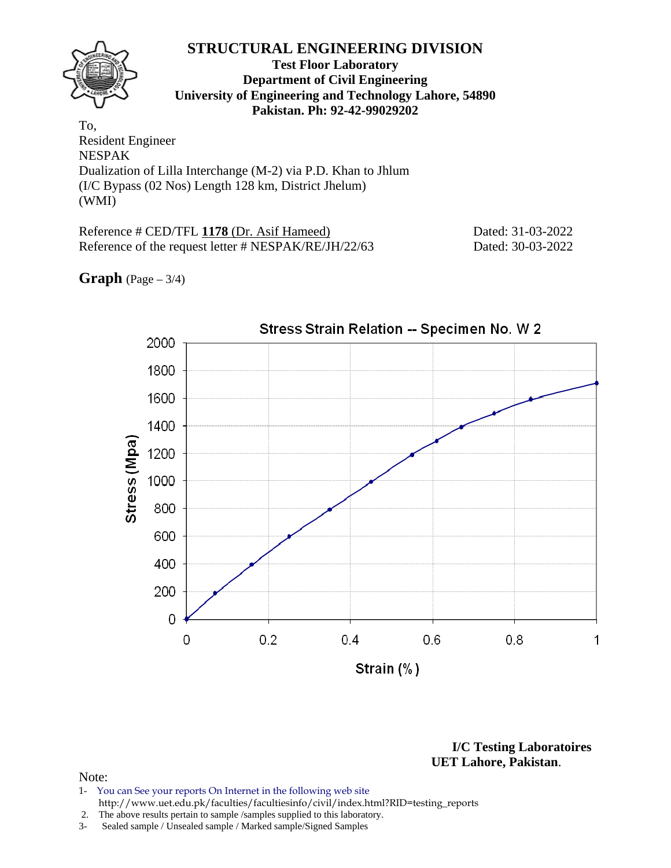

**Test Floor Laboratory Department of Civil Engineering University of Engineering and Technology Lahore, 54890 Pakistan. Ph: 92-42-99029202** 

To, Resident Engineer NESPAK Dualization of Lilla Interchange (M-2) via P.D. Khan to Jhlum (I/C Bypass (02 Nos) Length 128 km, District Jhelum) (WMI)

Reference # CED/TFL 1178 (Dr. Asif Hameed) Dated: 31-03-2022 Reference of the request letter # NESPAK/RE/JH/22/63 Dated: 30-03-2022

### **Graph**  $(Page - 3/4)$



**I/C Testing Laboratoires UET Lahore, Pakistan**.

- 1- You can See your reports On Internet in the following web site http://www.uet.edu.pk/faculties/facultiesinfo/civil/index.html?RID=testing\_reports
- 2. The above results pertain to sample /samples supplied to this laboratory.
- 3- Sealed sample / Unsealed sample / Marked sample/Signed Samples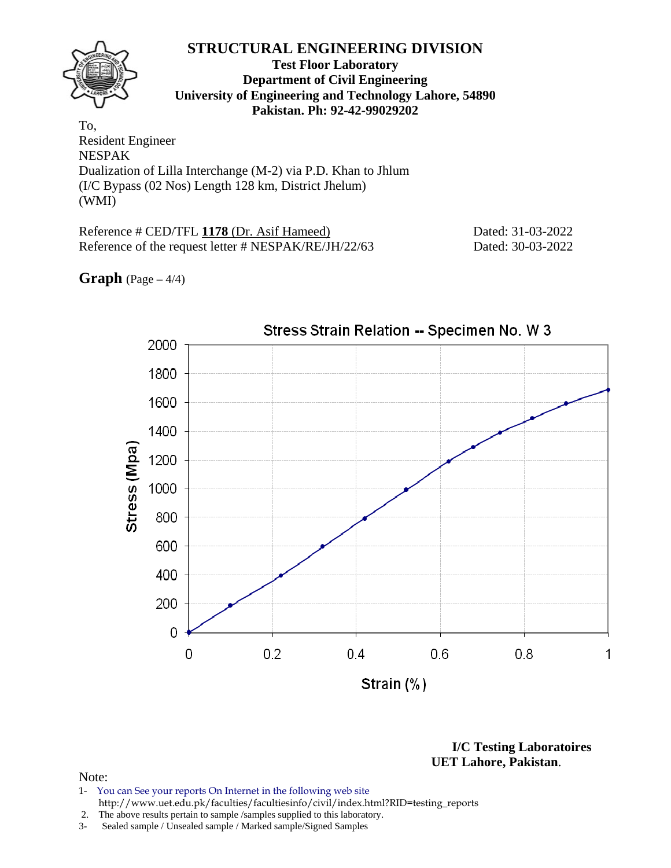**Test Floor Laboratory Department of Civil Engineering University of Engineering and Technology Lahore, 54890 Pakistan. Ph: 92-42-99029202** 

To, Resident Engineer NESPAK Dualization of Lilla Interchange (M-2) via P.D. Khan to Jhlum (I/C Bypass (02 Nos) Length 128 km, District Jhelum) (WMI)

Reference # CED/TFL 1178 (Dr. Asif Hameed) Dated: 31-03-2022 Reference of the request letter # NESPAK/RE/JH/22/63 Dated: 30-03-2022

Stress Strain Relation -- Specimen No. W 3 2000 1800 1600 1400 Stress (Mpa) 1200 1000 800 600 400 200 0  $0.2$  $0.4$  $0.8$ 0 0.6

# **Graph**  $(Page - 4/4)$

Strain (%)

**I/C Testing Laboratoires UET Lahore, Pakistan**.

1

- 1- You can See your reports On Internet in the following web site http://www.uet.edu.pk/faculties/facultiesinfo/civil/index.html?RID=testing\_reports
- 2. The above results pertain to sample /samples supplied to this laboratory.
- 3- Sealed sample / Unsealed sample / Marked sample/Signed Samples



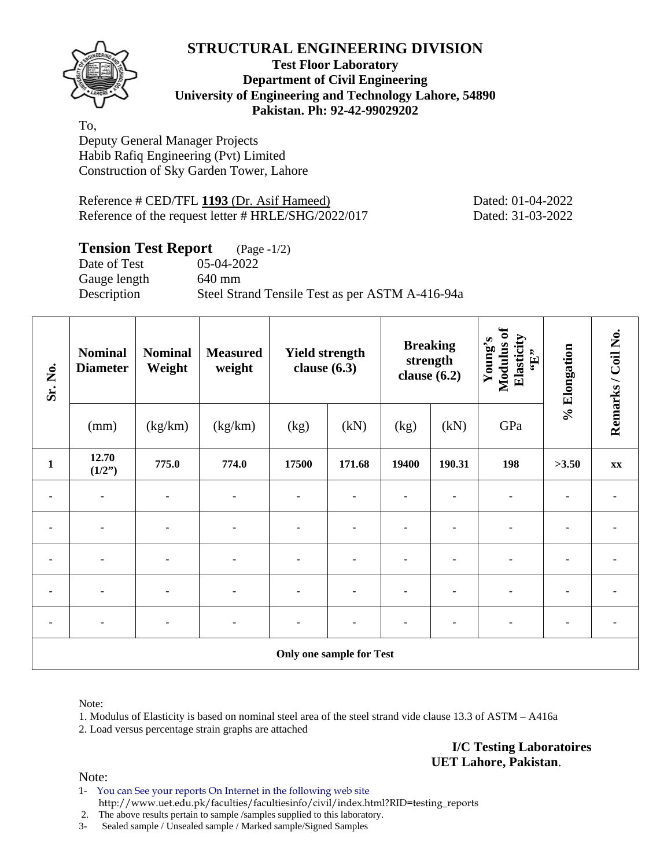

#### **Test Floor Laboratory Department of Civil Engineering University of Engineering and Technology Lahore, 54890 Pakistan. Ph: 92-42-99029202**

To, Deputy General Manager Projects Habib Rafiq Engineering (Pvt) Limited Construction of Sky Garden Tower, Lahore

Reference # CED/TFL 1193 (Dr. Asif Hameed) Dated: 01-04-2022 Reference of the request letter # HRLE/SHG/2022/017 Dated: 31-03-2022

## **Tension Test Report** (Page -1/2)

Gauge length 640 mm

Date of Test 05-04-2022 Description Steel Strand Tensile Test as per ASTM A-416-94a

| Sr. No.        | <b>Nominal</b><br><b>Diameter</b> | <b>Nominal</b><br>Weight | <b>Measured</b><br>weight | <b>Yield strength</b><br>clause $(6.3)$ |                                 | <b>Breaking</b><br>strength<br>clause $(6.2)$ |        | Modulus of<br>Elasticity<br>Young's<br>$\mathbf{f}$ . | % Elongation | Remarks / Coil No. |
|----------------|-----------------------------------|--------------------------|---------------------------|-----------------------------------------|---------------------------------|-----------------------------------------------|--------|-------------------------------------------------------|--------------|--------------------|
|                | (mm)                              | (kg/km)                  | (kg/km)                   | (kg)                                    | (kN)                            | (kg)                                          | (kN)   | GPa                                                   |              |                    |
| $\mathbf{1}$   | 12.70<br>(1/2")                   | 775.0                    | 774.0                     | 17500                                   | 171.68                          | 19400                                         | 190.31 | 198                                                   | >3.50        | XX                 |
|                |                                   |                          |                           |                                         |                                 |                                               |        |                                                       |              |                    |
| $\blacksquare$ | $\blacksquare$                    | ۰                        | $\blacksquare$            | $\blacksquare$                          |                                 |                                               |        | ۰                                                     |              |                    |
| ٠              |                                   |                          |                           | ۰                                       |                                 |                                               |        |                                                       |              |                    |
|                |                                   |                          |                           |                                         |                                 |                                               |        |                                                       |              |                    |
|                |                                   |                          |                           |                                         |                                 |                                               |        |                                                       |              |                    |
|                |                                   |                          |                           |                                         | <b>Only one sample for Test</b> |                                               |        |                                                       |              |                    |

Note:

1. Modulus of Elasticity is based on nominal steel area of the steel strand vide clause 13.3 of ASTM – A416a 2. Load versus percentage strain graphs are attached

> **I/C Testing Laboratoires UET Lahore, Pakistan**.

Note:

1- You can See your reports On Internet in the following web site http://www.uet.edu.pk/faculties/facultiesinfo/civil/index.html?RID=testing\_reports

2. The above results pertain to sample /samples supplied to this laboratory.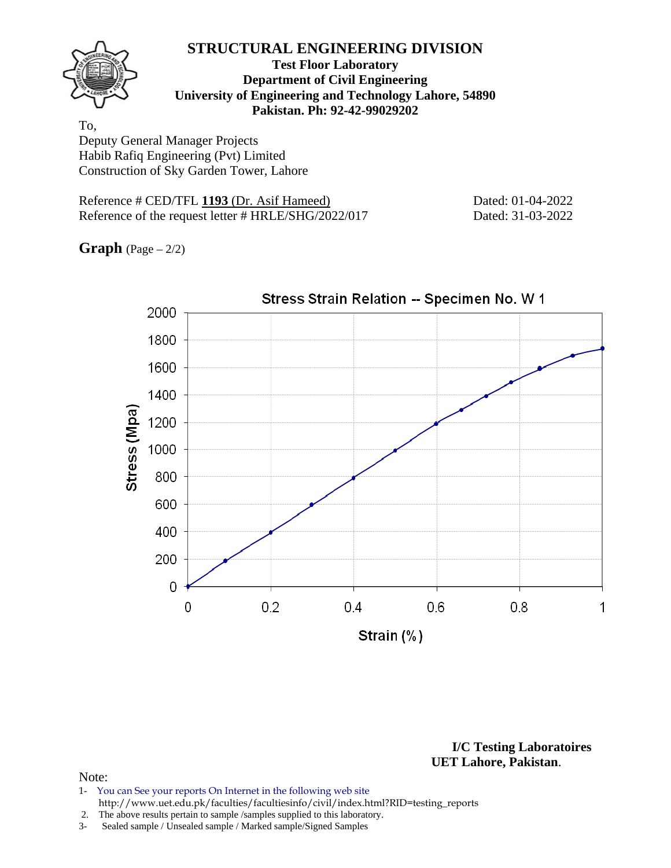

#### **Test Floor Laboratory Department of Civil Engineering University of Engineering and Technology Lahore, 54890 Pakistan. Ph: 92-42-99029202**

To, Deputy General Manager Projects Habib Rafiq Engineering (Pvt) Limited Construction of Sky Garden Tower, Lahore

Reference # CED/TFL 1193 (Dr. Asif Hameed) Dated: 01-04-2022 Reference of the request letter # HRLE/SHG/2022/017 Dated: 31-03-2022

**Graph** (Page – 2/2)



**I/C Testing Laboratoires UET Lahore, Pakistan**.

#### Note:

1- You can See your reports On Internet in the following web site http://www.uet.edu.pk/faculties/facultiesinfo/civil/index.html?RID=testing\_reports

2. The above results pertain to sample /samples supplied to this laboratory.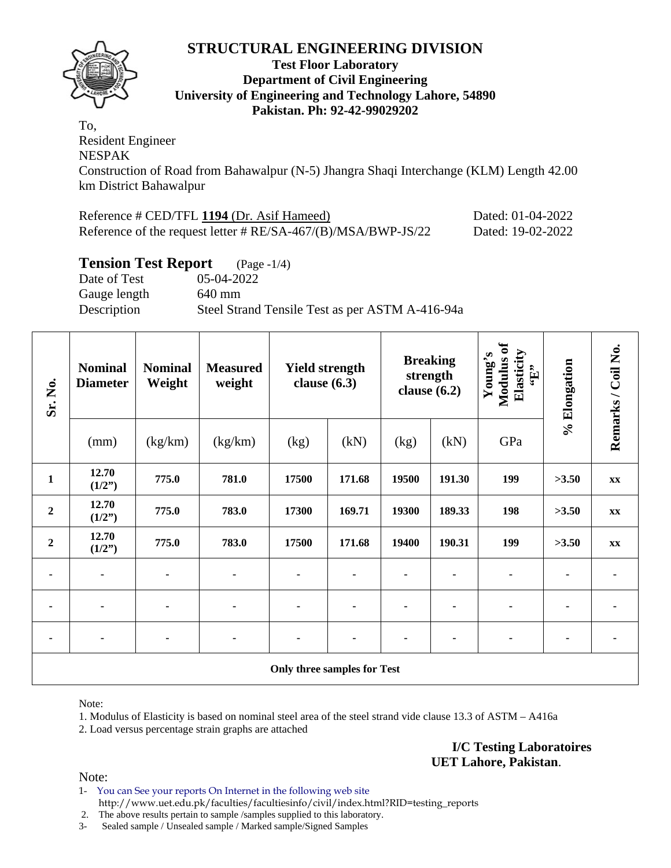

#### **Test Floor Laboratory Department of Civil Engineering University of Engineering and Technology Lahore, 54890 Pakistan. Ph: 92-42-99029202**

To, Resident Engineer NESPAK Construction of Road from Bahawalpur (N-5) Jhangra Shaqi Interchange (KLM) Length 42.00 km District Bahawalpur

| Reference # CED/TFL 1194 (Dr. Asif Hameed)                       | Dated: 01-04-2022 |
|------------------------------------------------------------------|-------------------|
| Reference of the request letter $\# RE/SA-467/(B)/MSA/BWP-JS/22$ | Dated: 19-02-2022 |

### **Tension Test Report** (Page -1/4)

Date of Test 05-04-2022 Gauge length 640 mm Description Steel Strand Tensile Test as per ASTM A-416-94a

| Sr. No.          | <b>Nominal</b><br><b>Diameter</b> | <b>Nominal</b><br>Weight | <b>Measured</b><br>weight |                                    | <b>Yield strength</b><br>clause $(6.3)$ |       | <b>Breaking</b><br>strength<br>clause $(6.2)$ |     | % Elongation | Remarks / Coil No. |
|------------------|-----------------------------------|--------------------------|---------------------------|------------------------------------|-----------------------------------------|-------|-----------------------------------------------|-----|--------------|--------------------|
|                  | (mm)                              | (kg/km)                  | (kg/km)                   | (kg)                               | (kN)                                    | (kg)  | (kN)                                          | GPa |              |                    |
| $\mathbf{1}$     | 12.70<br>(1/2")                   | 775.0                    | 781.0                     | 17500                              | 171.68                                  | 19500 | 191.30                                        | 199 | >3.50        | XX                 |
| $\boldsymbol{2}$ | 12.70<br>(1/2")                   | 775.0                    | 783.0                     | 17300                              | 169.71                                  | 19300 | 189.33                                        | 198 | >3.50        | $\mathbf{XX}$      |
| $\boldsymbol{2}$ | 12.70<br>(1/2")                   | 775.0                    | 783.0                     | 17500                              | 171.68                                  | 19400 | 190.31                                        | 199 | >3.50        | $\mathbf{XX}$      |
|                  | $\blacksquare$                    | ä,                       | ۰                         |                                    |                                         |       |                                               |     |              |                    |
|                  | $\blacksquare$                    | ٠                        | ۰                         |                                    |                                         |       |                                               |     |              |                    |
|                  | $\blacksquare$                    |                          |                           |                                    |                                         |       |                                               |     |              |                    |
|                  |                                   |                          |                           | <b>Only three samples for Test</b> |                                         |       |                                               |     |              |                    |

Note:

1. Modulus of Elasticity is based on nominal steel area of the steel strand vide clause 13.3 of ASTM – A416a

2. Load versus percentage strain graphs are attached

**I/C Testing Laboratoires UET Lahore, Pakistan**.

Note:

1- You can See your reports On Internet in the following web site http://www.uet.edu.pk/faculties/facultiesinfo/civil/index.html?RID=testing\_reports

2. The above results pertain to sample /samples supplied to this laboratory.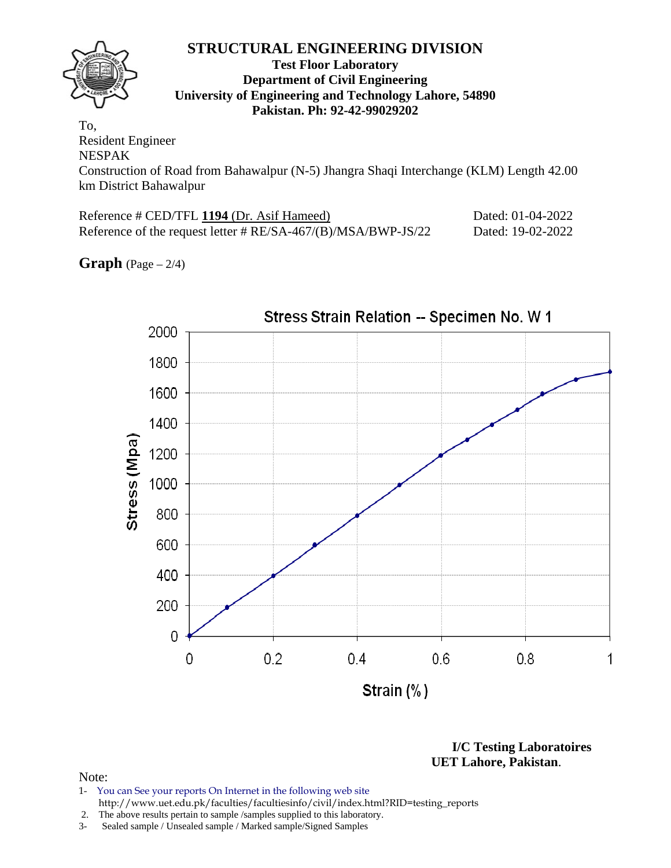#### **Test Floor Laboratory Department of Civil Engineering University of Engineering and Technology Lahore, 54890 Pakistan. Ph: 92-42-99029202**

To, Resident Engineer NESPAK Construction of Road from Bahawalpur (N-5) Jhangra Shaqi Interchange (KLM) Length 42.00 km District Bahawalpur

| Reference # CED/TFL 1194 (Dr. Asif Hameed)                       | Dated: 01-04-2022 |
|------------------------------------------------------------------|-------------------|
| Reference of the request letter $\# RE/SA-467/(B)/MSA/BWP-JS/22$ | Dated: 19-02-2022 |

**Graph**  $(Page - 2/4)$ 



**I/C Testing Laboratoires UET Lahore, Pakistan**.

- 1- You can See your reports On Internet in the following web site http://www.uet.edu.pk/faculties/facultiesinfo/civil/index.html?RID=testing\_reports
- 2. The above results pertain to sample /samples supplied to this laboratory.
- 3- Sealed sample / Unsealed sample / Marked sample/Signed Samples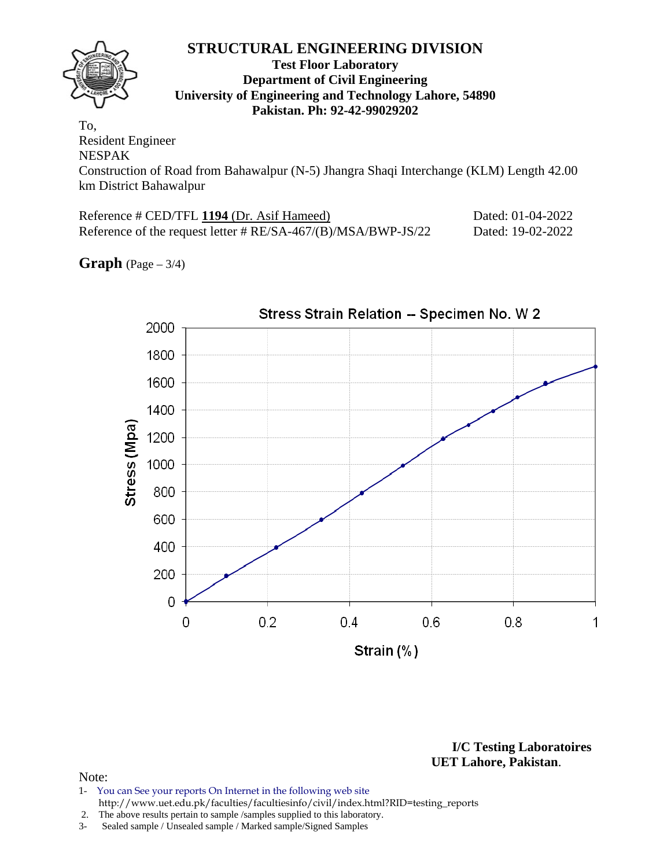#### **Test Floor Laboratory Department of Civil Engineering University of Engineering and Technology Lahore, 54890 Pakistan. Ph: 92-42-99029202**

To, Resident Engineer NESPAK Construction of Road from Bahawalpur (N-5) Jhangra Shaqi Interchange (KLM) Length 42.00 km District Bahawalpur

| Reference # CED/TFL 1194 (Dr. Asif Hameed)                       | Dated: 01-04-2022 |
|------------------------------------------------------------------|-------------------|
| Reference of the request letter $\# RE/SA-467/(B)/MSA/BWP-JS/22$ | Dated: 19-02-2022 |

**Graph** (Page – 3/4)



**I/C Testing Laboratoires UET Lahore, Pakistan**.

#### Note:

1- You can See your reports On Internet in the following web site http://www.uet.edu.pk/faculties/facultiesinfo/civil/index.html?RID=testing\_reports

2. The above results pertain to sample /samples supplied to this laboratory.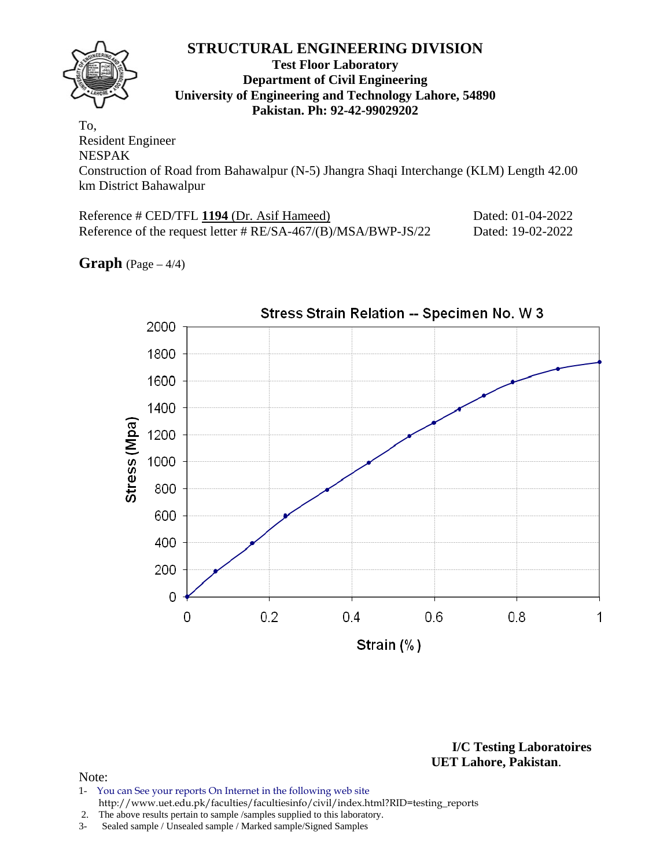#### **Test Floor Laboratory Department of Civil Engineering University of Engineering and Technology Lahore, 54890 Pakistan. Ph: 92-42-99029202**

To, Resident Engineer NESPAK Construction of Road from Bahawalpur (N-5) Jhangra Shaqi Interchange (KLM) Length 42.00 km District Bahawalpur

| Reference # CED/TFL 1194 (Dr. Asif Hameed)                       | Dated: 01-04-2022 |
|------------------------------------------------------------------|-------------------|
| Reference of the request letter $\# RE/SA-467/(B)/MSA/BWP-JS/22$ | Dated: 19-02-2022 |

**Graph** (Page – 4/4)



**I/C Testing Laboratoires UET Lahore, Pakistan**.

#### Note:

1- You can See your reports On Internet in the following web site http://www.uet.edu.pk/faculties/facultiesinfo/civil/index.html?RID=testing\_reports

2. The above results pertain to sample /samples supplied to this laboratory.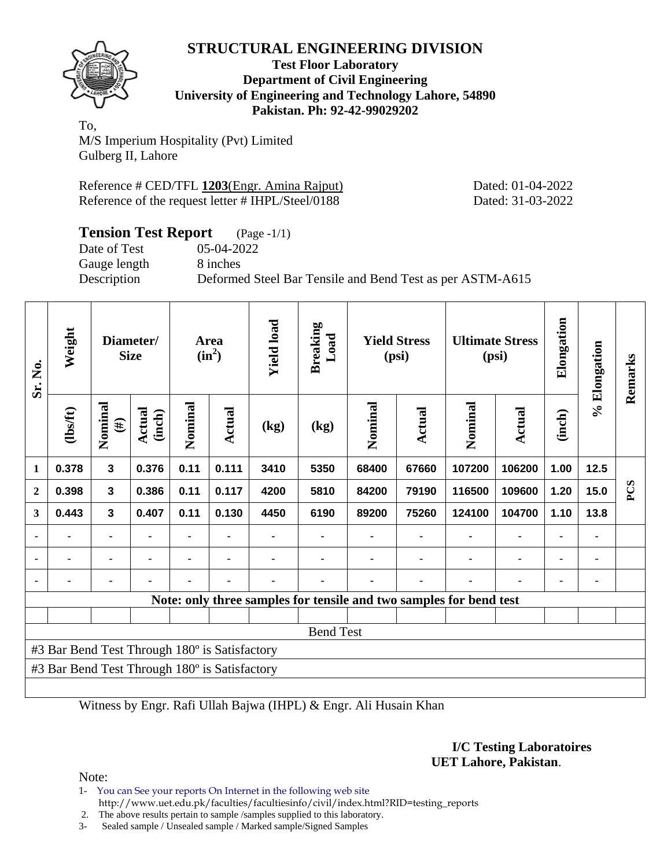

**Test Floor Laboratory Department of Civil Engineering University of Engineering and Technology Lahore, 54890 Pakistan. Ph: 92-42-99029202** 

To, M/S Imperium Hospitality (Pvt) Limited Gulberg II, Lahore

Reference # CED/TFL 1203(Engr. Amina Rajput) Dated: 01-04-2022 Reference of the request letter # IHPL/Steel/0188 Dated: 31-03-2022

| <b>Tension Test Report</b> (Page -1/1) |                                                           |
|----------------------------------------|-----------------------------------------------------------|
| Date of Test                           | 05-04-2022                                                |
| Gauge length                           | 8 inches                                                  |
| Description                            | Deformed Steel Bar Tensile and Bend Test as per ASTM-A615 |

| Sr. No.                                       | Weight   | Diameter/<br><b>Size</b> |                         |         |        |      |      |                                                                    |               |         | Area<br>$(in^2)$ | <b>Yield load</b> | <b>Breaking</b><br>Load |     | <b>Yield Stress</b><br>(psi) |  | <b>Ultimate Stress</b><br>(psi) | Elongation | % Elongation | Remarks |
|-----------------------------------------------|----------|--------------------------|-------------------------|---------|--------|------|------|--------------------------------------------------------------------|---------------|---------|------------------|-------------------|-------------------------|-----|------------------------------|--|---------------------------------|------------|--------------|---------|
|                                               | (1bs/ft) | Nominal<br>$(\#)$        | <b>Actual</b><br>(inch) | Nominal | Actual | (kg) | (kg) | Nominal                                                            | <b>Actual</b> | Nominal | Actual           | (inch)            |                         |     |                              |  |                                 |            |              |         |
| 1                                             | 0.378    | $\overline{\mathbf{3}}$  | 0.376                   | 0.11    | 0.111  | 3410 | 5350 | 68400                                                              | 67660         | 107200  | 106200           | 1.00              | 12.5                    |     |                              |  |                                 |            |              |         |
| $\overline{2}$                                | 0.398    | $\mathbf{3}$             | 0.386                   | 0.11    | 0.117  | 4200 | 5810 | 84200                                                              | 79190         | 116500  | 109600           | 1.20              | 15.0                    | PCS |                              |  |                                 |            |              |         |
| 3                                             | 0.443    | $\overline{\mathbf{3}}$  | 0.407                   | 0.11    | 0.130  | 4450 | 6190 | 89200                                                              | 75260         | 124100  | 104700           | 1.10              | 13.8                    |     |                              |  |                                 |            |              |         |
|                                               |          | ۰                        |                         | ۰       |        |      |      |                                                                    |               |         |                  | $\blacksquare$    |                         |     |                              |  |                                 |            |              |         |
|                                               |          | ۰                        |                         |         |        |      |      |                                                                    |               |         |                  |                   |                         |     |                              |  |                                 |            |              |         |
| ٠                                             |          | ۰                        |                         |         |        |      |      |                                                                    |               |         |                  |                   |                         |     |                              |  |                                 |            |              |         |
|                                               |          |                          |                         |         |        |      |      | Note: only three samples for tensile and two samples for bend test |               |         |                  |                   |                         |     |                              |  |                                 |            |              |         |
|                                               |          |                          |                         |         |        |      |      |                                                                    |               |         |                  |                   |                         |     |                              |  |                                 |            |              |         |
| <b>Bend Test</b>                              |          |                          |                         |         |        |      |      |                                                                    |               |         |                  |                   |                         |     |                              |  |                                 |            |              |         |
| #3 Bar Bend Test Through 180° is Satisfactory |          |                          |                         |         |        |      |      |                                                                    |               |         |                  |                   |                         |     |                              |  |                                 |            |              |         |
| #3 Bar Bend Test Through 180° is Satisfactory |          |                          |                         |         |        |      |      |                                                                    |               |         |                  |                   |                         |     |                              |  |                                 |            |              |         |
|                                               |          |                          |                         |         |        |      |      |                                                                    |               |         |                  |                   |                         |     |                              |  |                                 |            |              |         |

Witness by Engr. Rafi Ullah Bajwa (IHPL) & Engr. Ali Husain Khan

**I/C Testing Laboratoires UET Lahore, Pakistan**.

Note:

1- You can See your reports On Internet in the following web site http://www.uet.edu.pk/faculties/facultiesinfo/civil/index.html?RID=testing\_reports

2. The above results pertain to sample /samples supplied to this laboratory.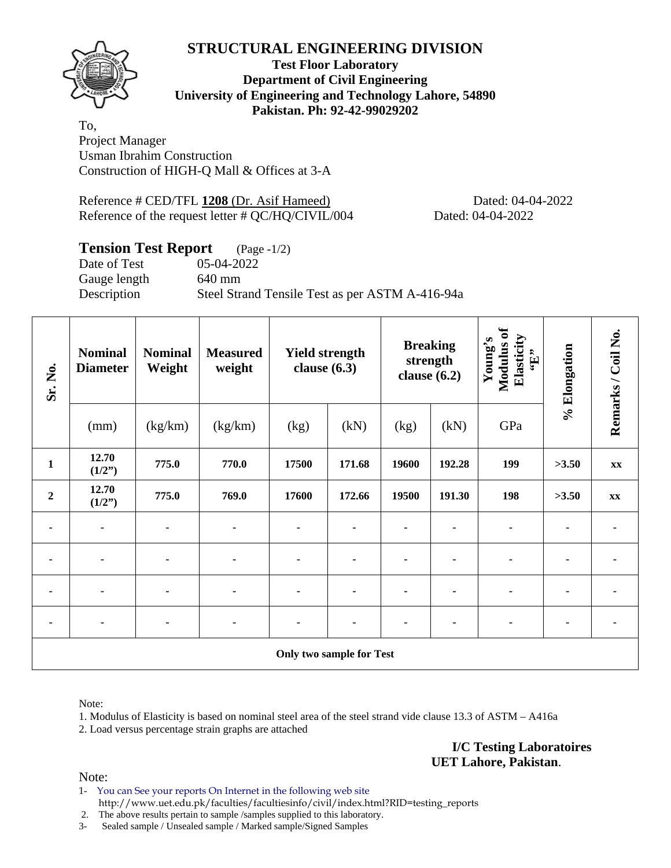

**Test Floor Laboratory Department of Civil Engineering University of Engineering and Technology Lahore, 54890 Pakistan. Ph: 92-42-99029202** 

To, Project Manager Usman Ibrahim Construction Construction of HIGH-Q Mall & Offices at 3-A

Reference # CED/TFL 1208 (Dr. Asif Hameed) Dated: 04-04-2022 Reference of the request letter # QC/HQ/CIVIL/004 Dated: 04-04-2022

## **Tension Test Report** (Page -1/2)

Date of Test 05-04-2022 Gauge length 640 mm

Description Steel Strand Tensile Test as per ASTM A-416-94a

| Sr. No.                  | <b>Nominal</b><br><b>Diameter</b> | <b>Nominal</b><br>Weight | <b>Measured</b><br>weight | clause $(6.3)$ | <b>Yield strength</b> | <b>Breaking</b><br>strength<br>clause $(6.2)$ |        | Modulus of<br>Elasticity<br>Young's<br>$\mathbf{f}$ . | % Elongation | Remarks / Coil No. |
|--------------------------|-----------------------------------|--------------------------|---------------------------|----------------|-----------------------|-----------------------------------------------|--------|-------------------------------------------------------|--------------|--------------------|
|                          | (mm)                              | (kg/km)                  | (kg/km)                   | (kg)           | (kN)                  | (kg)                                          | (kN)   | GPa                                                   |              |                    |
| $\mathbf{1}$             | 12.70<br>(1/2")                   | 775.0                    | 770.0                     | 17500          | 171.68                | 19600                                         | 192.28 | 199                                                   | >3.50        | XX                 |
| $\overline{2}$           | 12.70<br>(1/2")                   | 775.0                    | 769.0                     | 17600          | 172.66                | 19500                                         | 191.30 | 198                                                   | >3.50        | $\mathbf{XX}$      |
| ۰                        | ۰                                 | ٠                        | $\blacksquare$            | $\blacksquare$ |                       |                                               |        | $\blacksquare$                                        |              |                    |
| ٠                        | ۰                                 | ۰                        |                           | ٠              |                       |                                               |        | $\blacksquare$                                        |              |                    |
|                          |                                   |                          |                           |                |                       |                                               |        |                                                       |              |                    |
| $\blacksquare$           |                                   |                          |                           |                |                       |                                               |        | $\blacksquare$                                        |              |                    |
| Only two sample for Test |                                   |                          |                           |                |                       |                                               |        |                                                       |              |                    |

Note:

1. Modulus of Elasticity is based on nominal steel area of the steel strand vide clause 13.3 of ASTM – A416a 2. Load versus percentage strain graphs are attached

> **I/C Testing Laboratoires UET Lahore, Pakistan**.

Note:

1- You can See your reports On Internet in the following web site http://www.uet.edu.pk/faculties/facultiesinfo/civil/index.html?RID=testing\_reports

2. The above results pertain to sample /samples supplied to this laboratory.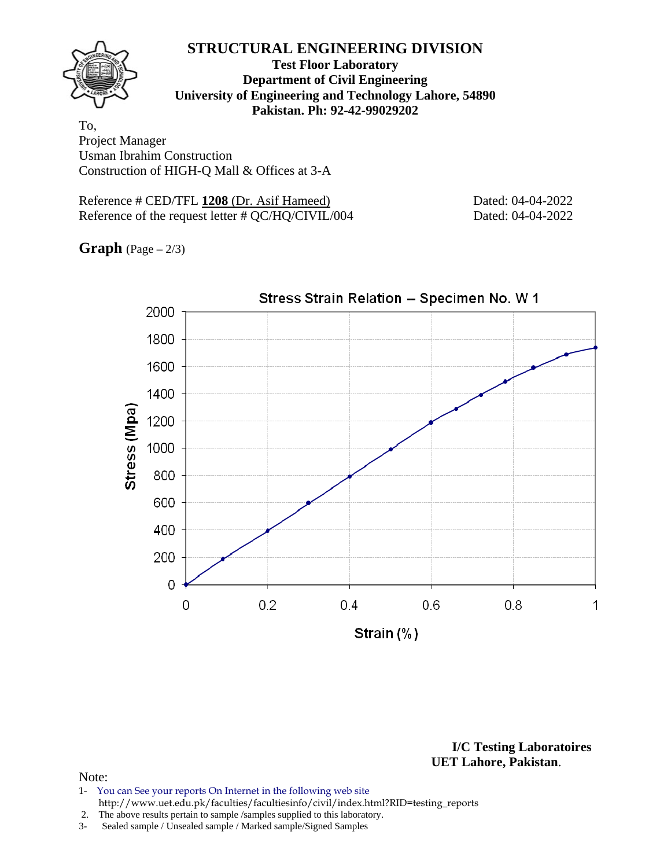#### **Test Floor Laboratory Department of Civil Engineering University of Engineering and Technology Lahore, 54890 Pakistan. Ph: 92-42-99029202**

To, Project Manager Usman Ibrahim Construction Construction of HIGH-Q Mall & Offices at 3-A

Reference # CED/TFL 1208 (Dr. Asif Hameed) Dated: 04-04-2022 Reference of the request letter # QC/HQ/CIVIL/004 Dated: 04-04-2022

**Graph** (Page – 2/3)



**I/C Testing Laboratoires UET Lahore, Pakistan**.

- 1- You can See your reports On Internet in the following web site http://www.uet.edu.pk/faculties/facultiesinfo/civil/index.html?RID=testing\_reports
- 2. The above results pertain to sample /samples supplied to this laboratory.
- 3- Sealed sample / Unsealed sample / Marked sample/Signed Samples